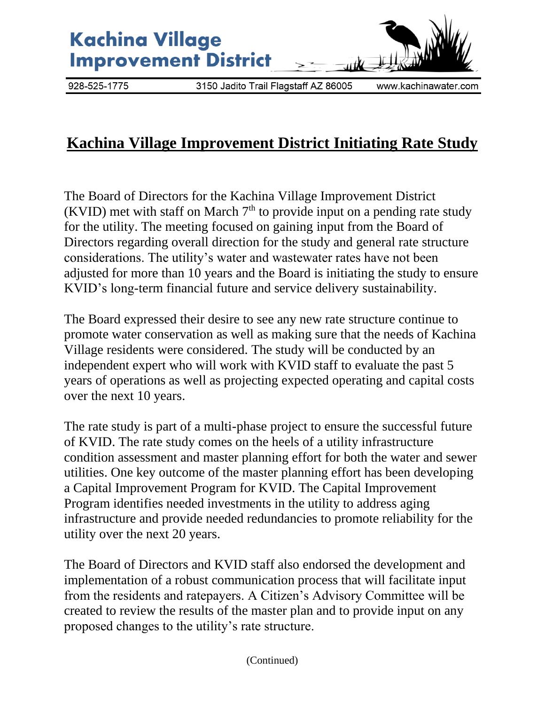

## **Kachina Village Improvement District Initiating Rate Study**

The Board of Directors for the Kachina Village Improvement District (KVID) met with staff on March  $7<sup>th</sup>$  to provide input on a pending rate study for the utility. The meeting focused on gaining input from the Board of Directors regarding overall direction for the study and general rate structure considerations. The utility's water and wastewater rates have not been adjusted for more than 10 years and the Board is initiating the study to ensure KVID's long-term financial future and service delivery sustainability.

The Board expressed their desire to see any new rate structure continue to promote water conservation as well as making sure that the needs of Kachina Village residents were considered. The study will be conducted by an independent expert who will work with KVID staff to evaluate the past 5 years of operations as well as projecting expected operating and capital costs over the next 10 years.

The rate study is part of a multi-phase project to ensure the successful future of KVID. The rate study comes on the heels of a utility infrastructure condition assessment and master planning effort for both the water and sewer utilities. One key outcome of the master planning effort has been developing a Capital Improvement Program for KVID. The Capital Improvement Program identifies needed investments in the utility to address aging infrastructure and provide needed redundancies to promote reliability for the utility over the next 20 years.

The Board of Directors and KVID staff also endorsed the development and implementation of a robust communication process that will facilitate input from the residents and ratepayers. A Citizen's Advisory Committee will be created to review the results of the master plan and to provide input on any proposed changes to the utility's rate structure.